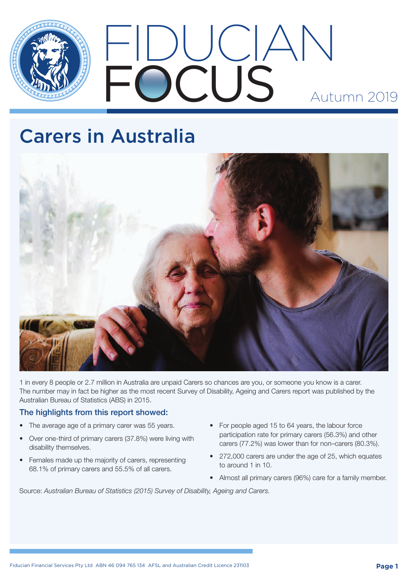

# FIDUCIAN FOCUS Autumn 2019

# Carers in Australia



1 in every 8 people or 2.7 million in Australia are unpaid Carers so chances are you, or someone you know is a carer. The number may in fact be higher as the most recent Survey of Disability, Ageing and Carers report was published by the Australian Bureau of Statistics (ABS) in 2015.

## The highlights from this report showed:

- The average age of a primary carer was 55 years.
- Over one-third of primary carers (37.8%) were living with disability themselves.
- Females made up the majority of carers, representing 68.1% of primary carers and 55.5% of all carers.
- For people aged 15 to 64 years, the labour force participation rate for primary carers (56.3%) and other carers (77.2%) was lower than for non–carers (80.3%).
- • 272,000 carers are under the age of 25, which equates to around 1 in 10.
- Almost all primary carers (96%) care for a family member.

Source: *Australian Bureau of Statistics (2015) Survey of Disability, Ageing and Carers.*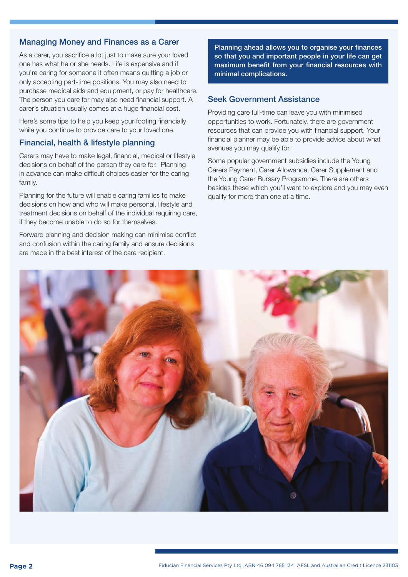### Managing Money and Finances as a Carer

As a carer, you sacrifice a lot just to make sure your loved one has what he or she needs. Life is expensive and if you're caring for someone it often means quitting a job or only accepting part-time positions. You may also need to purchase medical aids and equipment, or pay for healthcare. The person you care for may also need financial support. A carer's situation usually comes at a huge financial cost.

Here's some tips to help you keep your footing financially while you continue to provide care to your loved one.

#### Financial, health & lifestyle planning

Carers may have to make legal, financial, medical or lifestyle decisions on behalf of the person they care for. Planning in advance can make difficult choices easier for the caring family.

Planning for the future will enable caring families to make decisions on how and who will make personal, lifestyle and treatment decisions on behalf of the individual requiring care, if they become unable to do so for themselves.

Forward planning and decision making can minimise conflict and confusion within the caring family and ensure decisions are made in the best interest of the care recipient.

Planning ahead allows you to organise your finances so that you and important people in your life can get maximum benefit from your financial resources with minimal complications.

#### Seek Government Assistance

Providing care full-time can leave you with minimised opportunities to work. Fortunately, there are government resources that can provide you with financial support. Your financial planner may be able to provide advice about what avenues you may qualify for.

Some popular government subsidies include the Young Carers Payment, Carer Allowance, Carer Supplement and the Young Carer Bursary Programme. There are others besides these which you'll want to explore and you may even qualify for more than one at a time.

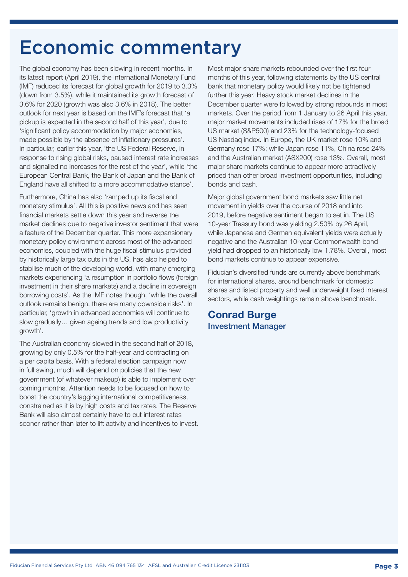## Economic commentary

The global economy has been slowing in recent months. In its latest report (April 2019), the International Monetary Fund (IMF) reduced its forecast for global growth for 2019 to 3.3% (down from 3.5%), while it maintained its growth forecast of 3.6% for 2020 (growth was also 3.6% in 2018). The better outlook for next year is based on the IMF's forecast that 'a pickup is expected in the second half of this year', due to 'significant policy accommodation by major economies, made possible by the absence of inflationary pressures'. In particular, earlier this year, 'the US Federal Reserve, in response to rising global risks, paused interest rate increases and signalled no increases for the rest of the year', while 'the European Central Bank, the Bank of Japan and the Bank of England have all shifted to a more accommodative stance'.

Furthermore, China has also 'ramped up its fiscal and monetary stimulus'. All this is positive news and has seen financial markets settle down this year and reverse the market declines due to negative investor sentiment that were a feature of the December quarter. This more expansionary monetary policy environment across most of the advanced economies, coupled with the huge fiscal stimulus provided by historically large tax cuts in the US, has also helped to stabilise much of the developing world, with many emerging markets experiencing 'a resumption in portfolio flows (foreign investment in their share markets) and a decline in sovereign borrowing costs'. As the IMF notes though, 'while the overall outlook remains benign, there are many downside risks'. In particular, 'growth in advanced economies will continue to slow gradually… given ageing trends and low productivity growth'.

The Australian economy slowed in the second half of 2018, growing by only 0.5% for the half-year and contracting on a per capita basis. With a federal election campaign now in full swing, much will depend on policies that the new government (of whatever makeup) is able to implement over coming months. Attention needs to be focused on how to boost the country's lagging international competitiveness, constrained as it is by high costs and tax rates. The Reserve Bank will also almost certainly have to cut interest rates sooner rather than later to lift activity and incentives to invest. Most major share markets rebounded over the first four months of this year, following statements by the US central bank that monetary policy would likely not be tightened further this year. Heavy stock market declines in the December quarter were followed by strong rebounds in most markets. Over the period from 1 January to 26 April this year, major market movements included rises of 17% for the broad US market (S&P500) and 23% for the technology-focused US Nasdaq index. In Europe, the UK market rose 10% and Germany rose 17%; while Japan rose 11%, China rose 24% and the Australian market (ASX200) rose 13%. Overall, most major share markets continue to appear more attractively priced than other broad investment opportunities, including bonds and cash.

Major global government bond markets saw little net movement in yields over the course of 2018 and into 2019, before negative sentiment began to set in. The US 10-year Treasury bond was yielding 2.50% by 26 April, while Japanese and German equivalent yields were actually negative and the Australian 10-year Commonwealth bond yield had dropped to an historically low 1.78%. Overall, most bond markets continue to appear expensive.

Fiducian's diversified funds are currently above benchmark for international shares, around benchmark for domestic shares and listed property and well underweight fixed interest sectors, while cash weightings remain above benchmark.

## Conrad Burge Investment Manager